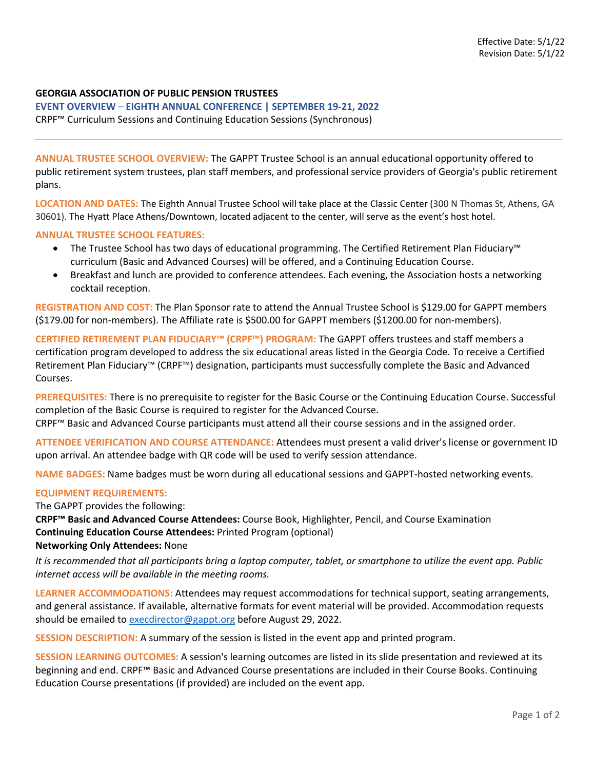## **GEORGIA ASSOCIATION OF PUBLIC PENSION TRUSTEES**

**EVENT OVERVIEW** *–* **EIGHTH ANNUAL CONFERENCE | SEPTEMBER 19-21, 2022** CRPF™ Curriculum Sessions and Continuing Education Sessions (Synchronous)

**ANNUAL TRUSTEE SCHOOL OVERVIEW:** The GAPPT Trustee School is an annual educational opportunity offered to public retirement system trustees, plan staff members, and professional service providers of Georgia's public retirement plans.

**LOCATION AND DATES:** The Eighth Annual Trustee School will take place at the Classic Center (300 N Thomas St, Athens, GA 30601). The Hyatt Place Athens/Downtown, located adjacent to the center, will serve as the event's host hotel.

## **ANNUAL TRUSTEE SCHOOL FEATURES:**

- The Trustee School has two days of educational programming. The Certified Retirement Plan Fiduciary™ curriculum (Basic and Advanced Courses) will be offered, and a Continuing Education Course.
- Breakfast and lunch are provided to conference attendees. Each evening, the Association hosts a networking cocktail reception.

**REGISTRATION AND COST:** The Plan Sponsor rate to attend the Annual Trustee School is \$129.00 for GAPPT members (\$179.00 for non-members). The Affiliate rate is \$500.00 for GAPPT members (\$1200.00 for non-members).

**CERTIFIED RETIREMENT PLAN FIDUCIARY™ (CRPF™) PROGRAM:** The GAPPT offers trustees and staff members a certification program developed to address the six educational areas listed in the Georgia Code. To receive a Certified Retirement Plan Fiduciary™ (CRPF™) designation, participants must successfully complete the Basic and Advanced Courses.

**PREREQUISITES:** There is no prerequisite to register for the Basic Course or the Continuing Education Course. Successful completion of the Basic Course is required to register for the Advanced Course.

CRPF™ Basic and Advanced Course participants must attend all their course sessions and in the assigned order.

**ATTENDEE VERIFICATION AND COURSE ATTENDANCE:** Attendees must present a valid driver's license or government ID upon arrival. An attendee badge with QR code will be used to verify session attendance.

**NAME BADGES:** Name badges must be worn during all educational sessions and GAPPT-hosted networking events.

## **EQUIPMENT REQUIREMENTS:**

The GAPPT provides the following:

**CRPF™ Basic and Advanced Course Attendees:** Course Book, Highlighter, Pencil, and Course Examination **Continuing Education Course Attendees:** Printed Program (optional) **Networking Only Attendees:** None

## *It is recommended that all participants bring a laptop computer, tablet, or smartphone to utilize the event app. Public*

*internet access will be available in the meeting rooms.*

**LEARNER ACCOMMODATIONS:** Attendees may request accommodations for technical support, seating arrangements, and general assistance. If available, alternative formats for event material will be provided. Accommodation requests should be emailed to execdirector@gappt.org before August 29, 2022.

**SESSION DESCRIPTION:** A summary of the session is listed in the event app and printed program.

**SESSION LEARNING OUTCOMES:** A session's learning outcomes are listed in its slide presentation and reviewed at its beginning and end. CRPF™ Basic and Advanced Course presentations are included in their Course Books. Continuing Education Course presentations (if provided) are included on the event app.